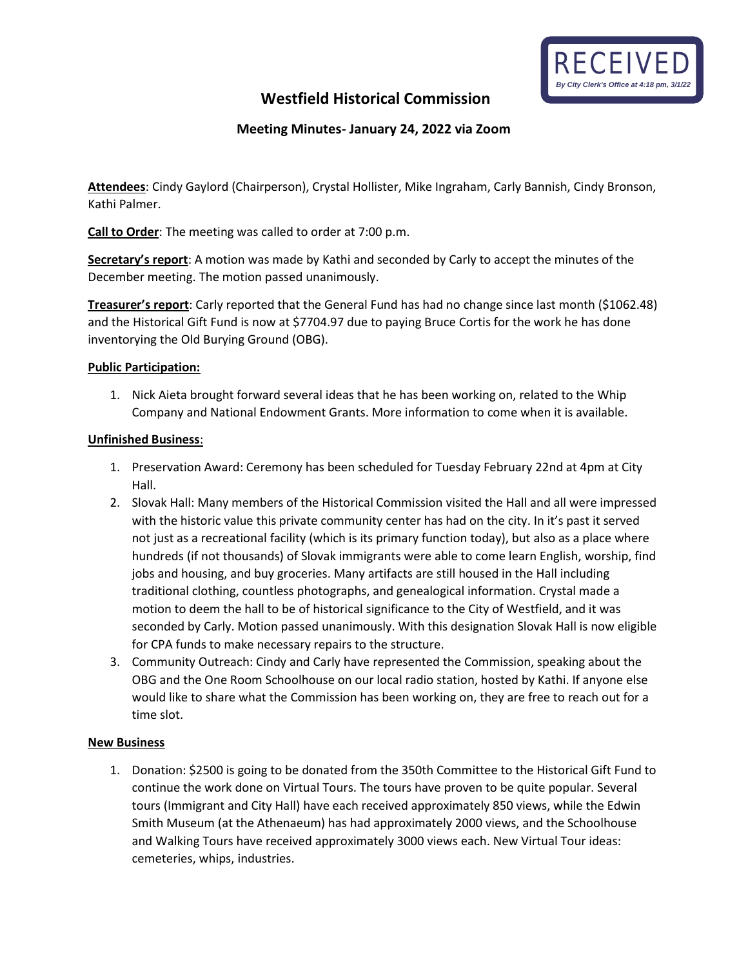

# **Westfield Historical Commission**

## **Meeting Minutes- January 24, 2022 via Zoom**

**Attendees**: Cindy Gaylord (Chairperson), Crystal Hollister, Mike Ingraham, Carly Bannish, Cindy Bronson, Kathi Palmer.

**Call to Order**: The meeting was called to order at 7:00 p.m.

**Secretary's report**: A motion was made by Kathi and seconded by Carly to accept the minutes of the December meeting. The motion passed unanimously.

**Treasurer's report**: Carly reported that the General Fund has had no change since last month (\$1062.48) and the Historical Gift Fund is now at \$7704.97 due to paying Bruce Cortis for the work he has done inventorying the Old Burying Ground (OBG).

#### **Public Participation:**

1. Nick Aieta brought forward several ideas that he has been working on, related to the Whip Company and National Endowment Grants. More information to come when it is available.

### **Unfinished Business**:

- 1. Preservation Award: Ceremony has been scheduled for Tuesday February 22nd at 4pm at City Hall.
- 2. Slovak Hall: Many members of the Historical Commission visited the Hall and all were impressed with the historic value this private community center has had on the city. In it's past it served not just as a recreational facility (which is its primary function today), but also as a place where hundreds (if not thousands) of Slovak immigrants were able to come learn English, worship, find jobs and housing, and buy groceries. Many artifacts are still housed in the Hall including traditional clothing, countless photographs, and genealogical information. Crystal made a motion to deem the hall to be of historical significance to the City of Westfield, and it was seconded by Carly. Motion passed unanimously. With this designation Slovak Hall is now eligible for CPA funds to make necessary repairs to the structure.
- 3. Community Outreach: Cindy and Carly have represented the Commission, speaking about the OBG and the One Room Schoolhouse on our local radio station, hosted by Kathi. If anyone else would like to share what the Commission has been working on, they are free to reach out for a time slot.

#### **New Business**

1. Donation: \$2500 is going to be donated from the 350th Committee to the Historical Gift Fund to continue the work done on Virtual Tours. The tours have proven to be quite popular. Several tours (Immigrant and City Hall) have each received approximately 850 views, while the Edwin Smith Museum (at the Athenaeum) has had approximately 2000 views, and the Schoolhouse and Walking Tours have received approximately 3000 views each. New Virtual Tour ideas: cemeteries, whips, industries.